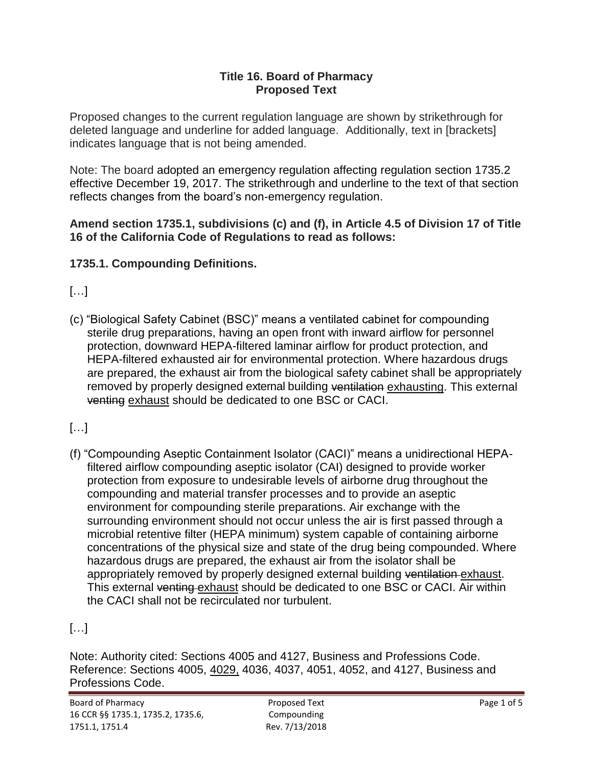#### **Title 16. Board of Pharmacy Proposed Text**

 deleted language and underline for added language. Additionally, text in [brackets] Proposed changes to the current regulation language are shown by strikethrough for indicates language that is not being amended.

 Note: The board adopted an emergency regulation affecting regulation section 1735.2 effective December 19, 2017. The strikethrough and underline to the text of that section reflects changes from the board's non-emergency regulation.

**Amend section 1735.1, subdivisions (c) and (f), in Article 4.5 of Division 17 of Title 16 of the California Code of Regulations to read as follows:** 

### **1735.1. Compounding Definitions.**

 $\left[\ldots\right]$ 

(c) "Biological Safety Cabinet (BSC)" means a ventilated cabinet for compounding sterile drug preparations, having an open front with inward airflow for personnel protection, downward HEPA-filtered laminar airflow for product protection, and HEPA-filtered exhausted air for environmental protection. Where hazardous drugs are prepared, the exhaust air from the biological safety cabinet shall be appropriately removed by properly designed external building ventilation exhausting. This external venting exhaust should be dedicated to one BSC or CACI.

[…]

 filtered airflow compounding aseptic isolator (CAI) designed to provide worker protection from exposure to undesirable levels of airborne drug throughout the (f) "Compounding Aseptic Containment Isolator (CACI)" means a unidirectional HEPAcompounding and material transfer processes and to provide an aseptic environment for compounding sterile preparations. Air exchange with the surrounding environment should not occur unless the air is first passed through a microbial retentive filter (HEPA minimum) system capable of containing airborne concentrations of the physical size and state of the drug being compounded. Where hazardous drugs are prepared, the exhaust air from the isolator shall be appropriately removed by properly designed external building ventilation exhaust. This external venting exhaust should be dedicated to one BSC or CACI. Air within the CACI shall not be recirculated nor turbulent.

## […]

Note: Authority cited: Sections 4005 and 4127, Business and Professions Code. Reference: Sections 4005, 4029, 4036, 4037, 4051, 4052, and 4127, Business and Professions Code.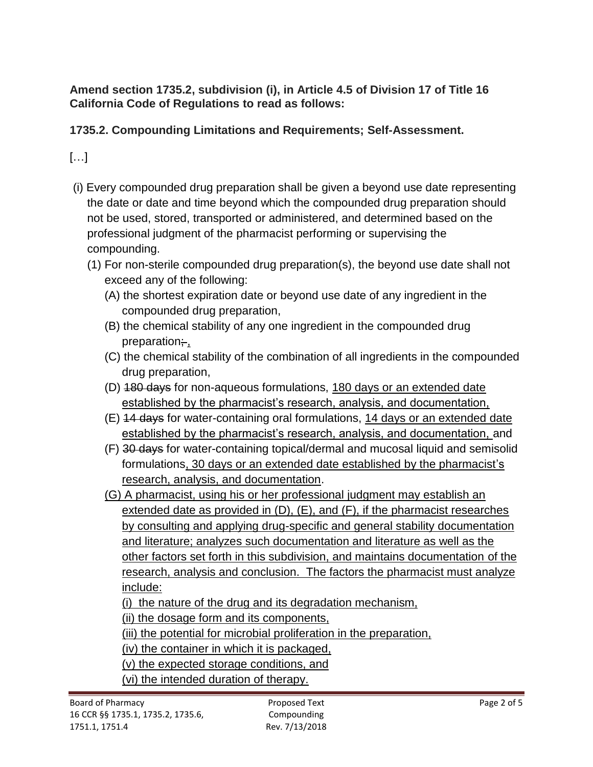**Amend section 1735.2, subdivision (i), in Article 4.5 of Division 17 of Title 16 California Code of Regulations to read as follows:** 

### **1735.2. Compounding Limitations and Requirements; Self-Assessment.**

[…]

- not be used, stored, transported or administered, and determined based on the (i) Every compounded drug preparation shall be given a beyond use date representing the date or date and time beyond which the compounded drug preparation should professional judgment of the pharmacist performing or supervising the compounding.
	- (1) For non-sterile compounded drug preparation(s), the beyond use date shall not exceed any of the following:
		- (A) the shortest expiration date or beyond use date of any ingredient in the compounded drug preparation,
		- (B) the chemical stability of any one ingredient in the compounded drug preparation;
		- (C) the chemical stability of the combination of all ingredients in the compounded drug preparation,
		- (D) 180 days for non-aqueous formulations, 180 days or an extended date established by the pharmacist's research, analysis, and documentation,
		- (E) 14 days for water-containing oral formulations, 14 days or an extended date established by the pharmacist's research, analysis, and documentation, and
		- (F) 30 days for water-containing topical/dermal and mucosal liquid and semisolid formulations, 30 days or an extended date established by the pharmacist's research, analysis, and documentation.
		- (G) A pharmacist, using his or her professional judgment may establish an extended date as provided in (D), (E), and (F), if the pharmacist researches by consulting and applying drug-specific and general stability documentation and literature; analyzes such documentation and literature as well as the other factors set forth in this subdivision, and maintains documentation of the research, analysis and conclusion. The factors the pharmacist must analyze include:
			- (i) the nature of the drug and its degradation mechanism,

(ii) the dosage form and its components,

(iii) the potential for microbial proliferation in the preparation,

(iv) the container in which it is packaged,

- (v) the expected storage conditions, and
- (vi) the intended duration of therapy.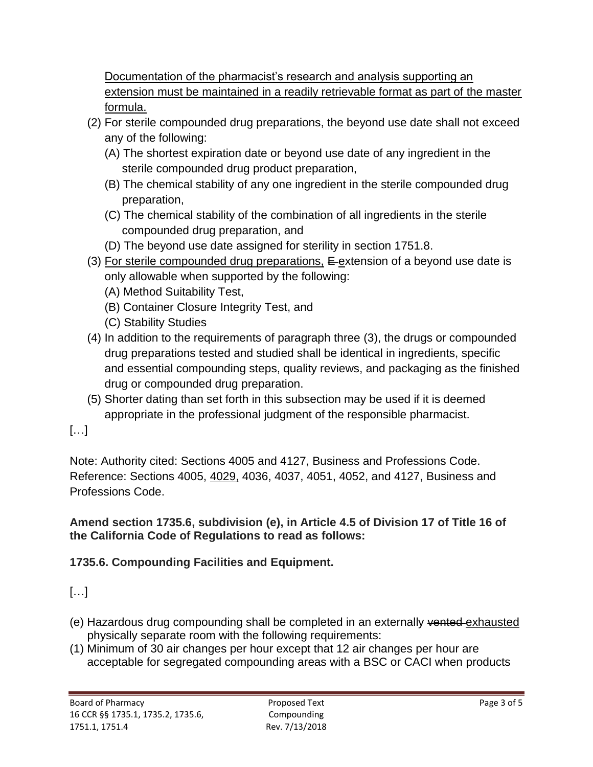Documentation of the pharmacist's research and analysis supporting an extension must be maintained in a readily retrievable format as part of the master formula.

- (2) For sterile compounded drug preparations, the beyond use date shall not exceed any of the following:
	- (A) The shortest expiration date or beyond use date of any ingredient in the sterile compounded drug product preparation,
	- (B) The chemical stability of any one ingredient in the sterile compounded drug preparation,
	- (C) The chemical stability of the combination of all ingredients in the sterile compounded drug preparation, and
	- (D) The beyond use date assigned for sterility in section 1751.8.
- (3) For sterile compounded drug preparations, E-extension of a beyond use date is only allowable when supported by the following:
	- (A) Method Suitability Test,
	- (B) Container Closure Integrity Test, and
	- (C) Stability Studies
- and essential compounding steps, quality reviews, and packaging as the finished (4) In addition to the requirements of paragraph three (3), the drugs or compounded drug preparations tested and studied shall be identical in ingredients, specific drug or compounded drug preparation.
- (5) Shorter dating than set forth in this subsection may be used if it is deemed appropriate in the professional judgment of the responsible pharmacist.
- […]

Note: Authority cited: Sections 4005 and 4127, Business and Professions Code. Reference: Sections 4005, 4029, 4036, 4037, 4051, 4052, and 4127, Business and Professions Code.

### **Amend section 1735.6, subdivision (e), in Article 4.5 of Division 17 of Title 16 of the California Code of Regulations to read as follows:**

## **1735.6. Compounding Facilities and Equipment.**

# […]

- (e) Hazardous drug compounding shall be completed in an externally vented exhausted physically separate room with the following requirements:
- (1) Minimum of 30 air changes per hour except that 12 air changes per hour are acceptable for segregated compounding areas with a BSC or CACI when products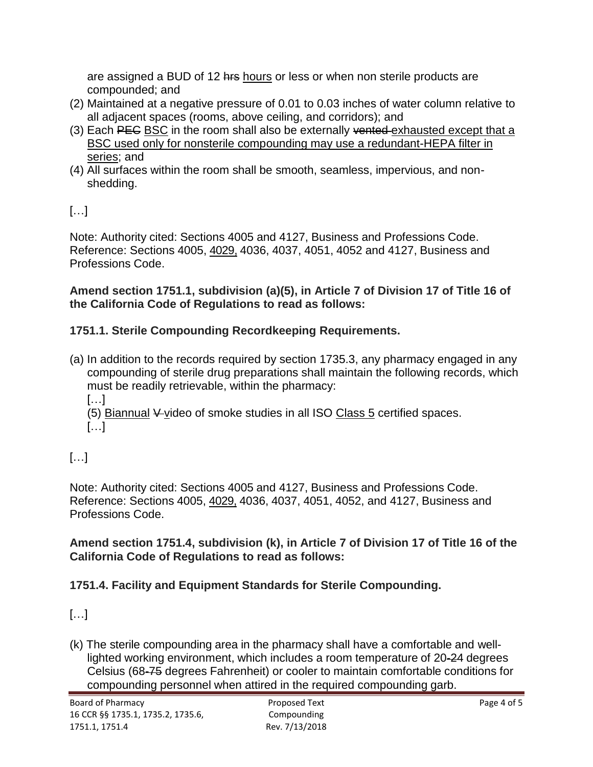are assigned a BUD of 12 hrs hours or less or when non sterile products are compounded; and

- (2) Maintained at a negative pressure of 0.01 to 0.03 inches of water column relative to all adjacent spaces (rooms, above ceiling, and corridors); and
- (3) Each PEC BSC in the room shall also be externally vented-exhausted except that a BSC used only for nonsterile compounding may use a redundant-HEPA filter in series; and
- (4) All surfaces within the room shall be smooth, seamless, impervious, and nonshedding.

[…]

Note: Authority cited: Sections 4005 and 4127, Business and Professions Code. Reference: Sections 4005, 4029, 4036, 4037, 4051, 4052 and 4127, Business and Professions Code.

#### **Amend section 1751.1, subdivision (a)(5), in Article 7 of Division 17 of Title 16 of the California Code of Regulations to read as follows:**

## **1751.1. Sterile Compounding Recordkeeping Requirements.**

(a) In addition to the records required by section 1735.3, any pharmacy engaged in any compounding of sterile drug preparations shall maintain the following records, which must be readily retrievable, within the pharmacy: […]

(5) Biannual V video of smoke studies in all ISO Class 5 certified spaces.  $[...]$ 

[…]

Note: Authority cited: Sections 4005 and 4127, Business and Professions Code. Reference: Sections 4005, 4029, 4036, 4037, 4051, 4052, and 4127, Business and Professions Code.

**Amend section 1751.4, subdivision (k), in Article 7 of Division 17 of Title 16 of the California Code of Regulations to read as follows:** 

## **1751.4. Facility and Equipment Standards for Sterile Compounding.**

[…]

 (k) The sterile compounding area in the pharmacy shall have a comfortable and welllighted working environment, which includes a room temperature of 20-24 degrees Celsius (68-75 degrees Fahrenheit) or cooler to maintain comfortable conditions for compounding personnel when attired in the required compounding garb.